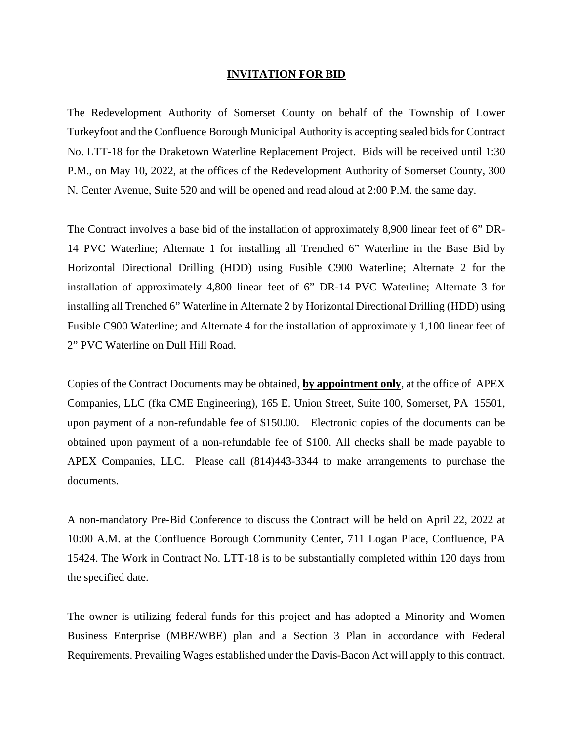## **INVITATION FOR BID**

The Redevelopment Authority of Somerset County on behalf of the Township of Lower Turkeyfoot and the Confluence Borough Municipal Authority is accepting sealed bids for Contract No. LTT-18 for the Draketown Waterline Replacement Project. Bids will be received until 1:30 P.M., on May 10, 2022, at the offices of the Redevelopment Authority of Somerset County, 300 N. Center Avenue, Suite 520 and will be opened and read aloud at 2:00 P.M. the same day.

The Contract involves a base bid of the installation of approximately 8,900 linear feet of 6" DR-14 PVC Waterline; Alternate 1 for installing all Trenched 6" Waterline in the Base Bid by Horizontal Directional Drilling (HDD) using Fusible C900 Waterline; Alternate 2 for the installation of approximately 4,800 linear feet of 6" DR-14 PVC Waterline; Alternate 3 for installing all Trenched 6" Waterline in Alternate 2 by Horizontal Directional Drilling (HDD) using Fusible C900 Waterline; and Alternate 4 for the installation of approximately 1,100 linear feet of 2" PVC Waterline on Dull Hill Road.

Copies of the Contract Documents may be obtained, **by appointment only**, at the office of APEX Companies, LLC (fka CME Engineering), 165 E. Union Street, Suite 100, Somerset, PA 15501, upon payment of a non-refundable fee of \$150.00. Electronic copies of the documents can be obtained upon payment of a non-refundable fee of \$100. All checks shall be made payable to APEX Companies, LLC. Please call (814)443-3344 to make arrangements to purchase the documents.

A non-mandatory Pre-Bid Conference to discuss the Contract will be held on April 22, 2022 at 10:00 A.M. at the Confluence Borough Community Center, 711 Logan Place, Confluence, PA 15424. The Work in Contract No. LTT-18 is to be substantially completed within 120 days from the specified date.

The owner is utilizing federal funds for this project and has adopted a Minority and Women Business Enterprise (MBE/WBE) plan and a Section 3 Plan in accordance with Federal Requirements. Prevailing Wages established under the Davis-Bacon Act will apply to this contract.